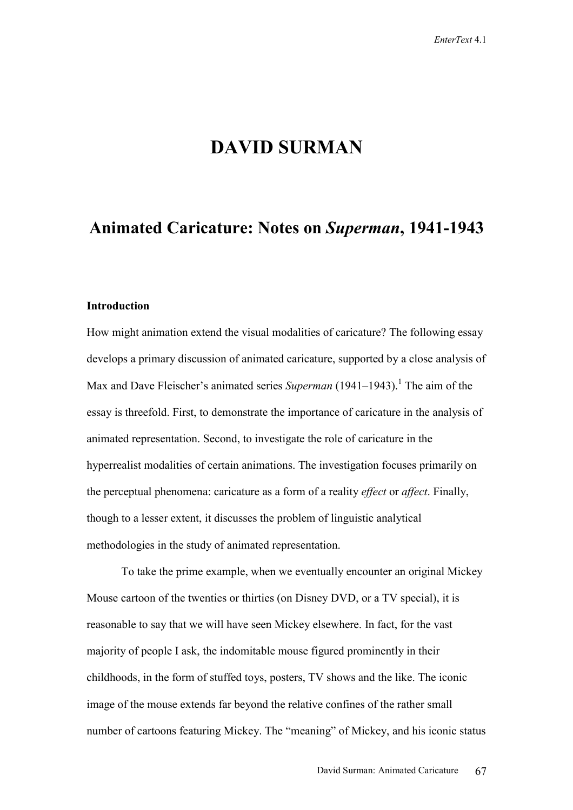# **DAVID SURMAN**

## **Animated Caricature: Notes on** *Superman***, 1941-1943**

## **Introduction**

How might animation extend the visual modalities of caricature? The following essay develops a primary discussion of animated caricature, supported by a close analysis of Max and Dave Fleischer's animated series *Superman* (1941–1943).<sup>1</sup> The aim of the essay is threefold. First, to demonstrate the importance of caricature in the analysis of animated representation. Second, to investigate the role of caricature in the hyperrealist modalities of certain animations. The investigation focuses primarily on the perceptual phenomena: caricature as a form of a reality *effect* or *affect*. Finally, though to a lesser extent, it discusses the problem of linguistic analytical methodologies in the study of animated representation.

To take the prime example, when we eventually encounter an original Mickey Mouse cartoon of the twenties or thirties (on Disney DVD, or a TV special), it is reasonable to say that we will have seen Mickey elsewhere. In fact, for the vast majority of people I ask, the indomitable mouse figured prominently in their childhoods, in the form of stuffed toys, posters, TV shows and the like. The iconic image of the mouse extends far beyond the relative confines of the rather small number of cartoons featuring Mickey. The "meaning" of Mickey, and his iconic status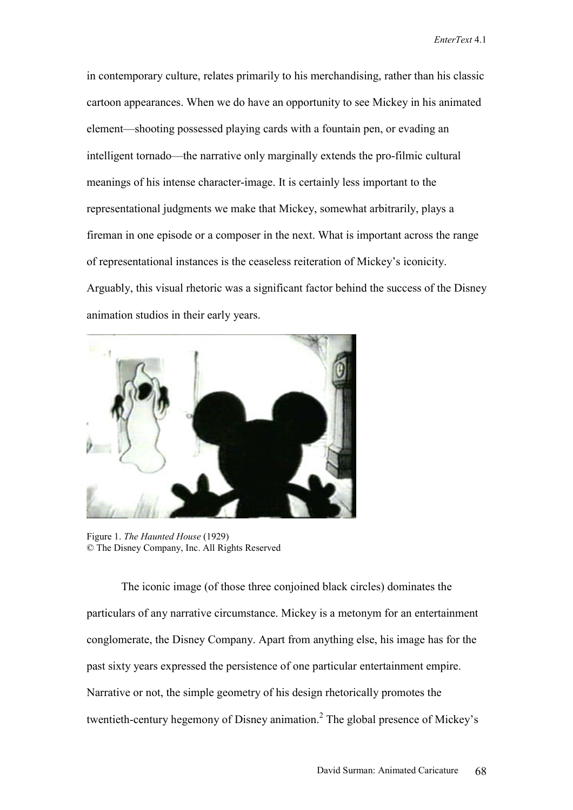in contemporary culture, relates primarily to his merchandising, rather than his classic cartoon appearances. When we do have an opportunity to see Mickey in his animated element—shooting possessed playing cards with a fountain pen, or evading an intelligent tornado—the narrative only marginally extends the pro-filmic cultural meanings of his intense character-image. It is certainly less important to the representational judgments we make that Mickey, somewhat arbitrarily, plays a fireman in one episode or a composer in the next. What is important across the range of representational instances is the ceaseless reiteration of Mickey's iconicity. Arguably, this visual rhetoric was a significant factor behind the success of the Disney animation studios in their early years.



Figure 1. *The Haunted House* (1929) © The Disney Company, Inc. All Rights Reserved

The iconic image (of those three conjoined black circles) dominates the particulars of any narrative circumstance. Mickey is a metonym for an entertainment conglomerate, the Disney Company. Apart from anything else, his image has for the past sixty years expressed the persistence of one particular entertainment empire. Narrative or not, the simple geometry of his design rhetorically promotes the twentieth-century hegemony of Disney animation.<sup>2</sup> The global presence of Mickey's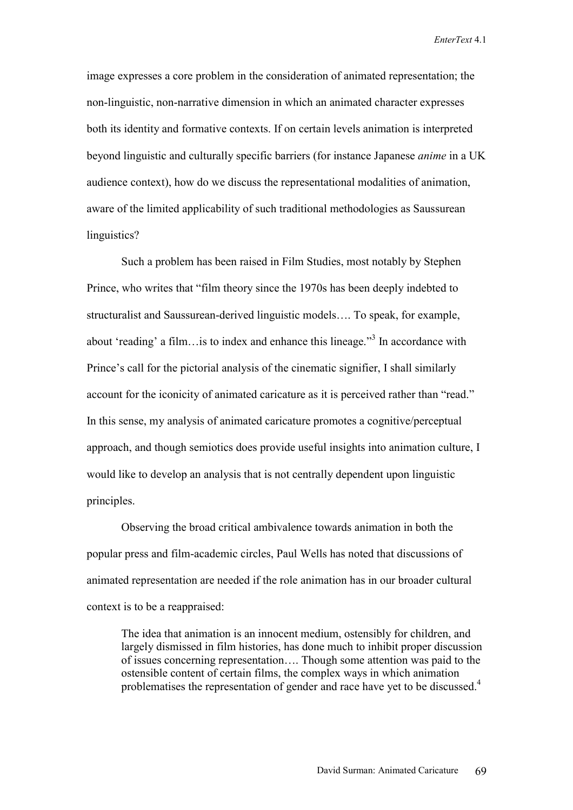image expresses a core problem in the consideration of animated representation; the non-linguistic, non-narrative dimension in which an animated character expresses both its identity and formative contexts. If on certain levels animation is interpreted beyond linguistic and culturally specific barriers (for instance Japanese *anime* in a UK audience context), how do we discuss the representational modalities of animation, aware of the limited applicability of such traditional methodologies as Saussurean linguistics?

Such a problem has been raised in Film Studies, most notably by Stephen Prince, who writes that "film theory since the 1970s has been deeply indebted to structuralist and Saussurean-derived linguistic models…. To speak, for example, about 'reading' a film... is to index and enhance this lineage."<sup>3</sup> In accordance with Prince's call for the pictorial analysis of the cinematic signifier, I shall similarly account for the iconicity of animated caricature as it is perceived rather than "read." In this sense, my analysis of animated caricature promotes a cognitive/perceptual approach, and though semiotics does provide useful insights into animation culture, I would like to develop an analysis that is not centrally dependent upon linguistic principles.

Observing the broad critical ambivalence towards animation in both the popular press and film-academic circles, Paul Wells has noted that discussions of animated representation are needed if the role animation has in our broader cultural context is to be a reappraised:

The idea that animation is an innocent medium, ostensibly for children, and largely dismissed in film histories, has done much to inhibit proper discussion of issues concerning representation…. Though some attention was paid to the ostensible content of certain films, the complex ways in which animation problematises the representation of gender and race have yet to be discussed.<sup>4</sup>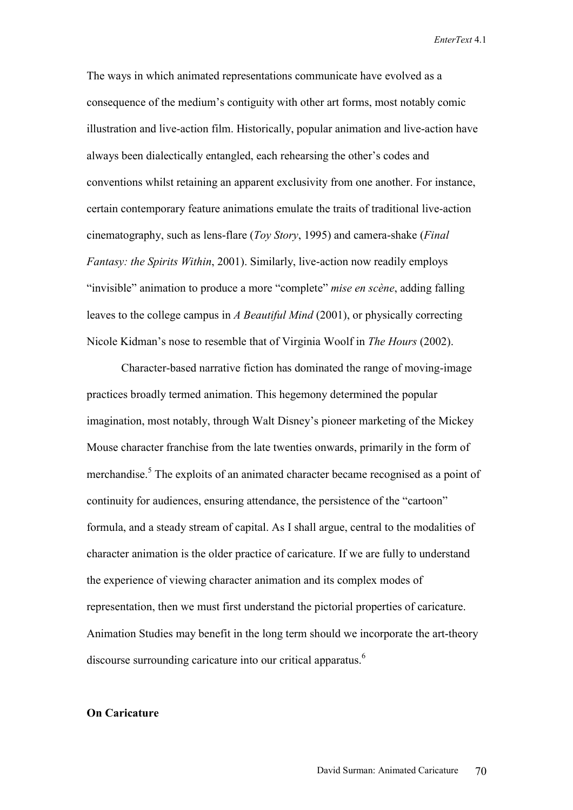The ways in which animated representations communicate have evolved as a consequence of the medium's contiguity with other art forms, most notably comic illustration and live-action film. Historically, popular animation and live-action have always been dialectically entangled, each rehearsing the other's codes and conventions whilst retaining an apparent exclusivity from one another. For instance, certain contemporary feature animations emulate the traits of traditional live-action cinematography, such as lens-flare (*Toy Story*, 1995) and camera-shake (*Final Fantasy: the Spirits Within*, 2001). Similarly, live-action now readily employs "invisible" animation to produce a more "complete" *mise en scène*, adding falling leaves to the college campus in *A Beautiful Mind* (2001), or physically correcting Nicole Kidman's nose to resemble that of Virginia Woolf in *The Hours* (2002).

Character-based narrative fiction has dominated the range of moving-image practices broadly termed animation. This hegemony determined the popular imagination, most notably, through Walt Disney's pioneer marketing of the Mickey Mouse character franchise from the late twenties onwards, primarily in the form of merchandise.<sup>5</sup> The exploits of an animated character became recognised as a point of continuity for audiences, ensuring attendance, the persistence of the "cartoon" formula, and a steady stream of capital. As I shall argue, central to the modalities of character animation is the older practice of caricature. If we are fully to understand the experience of viewing character animation and its complex modes of representation, then we must first understand the pictorial properties of caricature. Animation Studies may benefit in the long term should we incorporate the art-theory discourse surrounding caricature into our critical apparatus.<sup>6</sup>

## **On Caricature**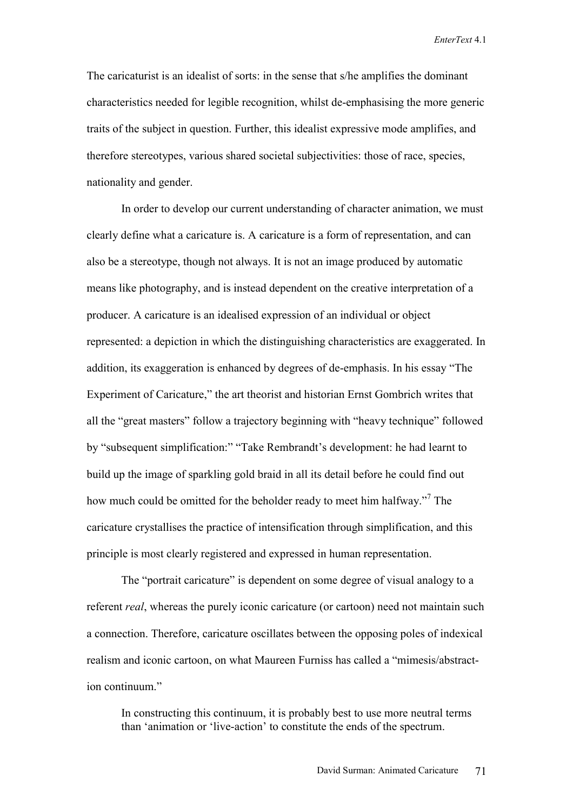The caricaturist is an idealist of sorts: in the sense that s/he amplifies the dominant characteristics needed for legible recognition, whilst de-emphasising the more generic traits of the subject in question. Further, this idealist expressive mode amplifies, and therefore stereotypes, various shared societal subjectivities: those of race, species, nationality and gender.

In order to develop our current understanding of character animation, we must clearly define what a caricature is. A caricature is a form of representation, and can also be a stereotype, though not always. It is not an image produced by automatic means like photography, and is instead dependent on the creative interpretation of a producer. A caricature is an idealised expression of an individual or object represented: a depiction in which the distinguishing characteristics are exaggerated. In addition, its exaggeration is enhanced by degrees of de-emphasis. In his essay "The Experiment of Caricature," the art theorist and historian Ernst Gombrich writes that all the "great masters" follow a trajectory beginning with "heavy technique" followed by "subsequent simplification:" "Take Rembrandt's development: he had learnt to build up the image of sparkling gold braid in all its detail before he could find out how much could be omitted for the beholder ready to meet him halfway."<sup>7</sup> The caricature crystallises the practice of intensification through simplification, and this principle is most clearly registered and expressed in human representation.

The "portrait caricature" is dependent on some degree of visual analogy to a referent *real*, whereas the purely iconic caricature (or cartoon) need not maintain such a connection. Therefore, caricature oscillates between the opposing poles of indexical realism and iconic cartoon, on what Maureen Furniss has called a "mimesis/abstraction continuum."

In constructing this continuum, it is probably best to use more neutral terms than 'animation or 'live-action' to constitute the ends of the spectrum.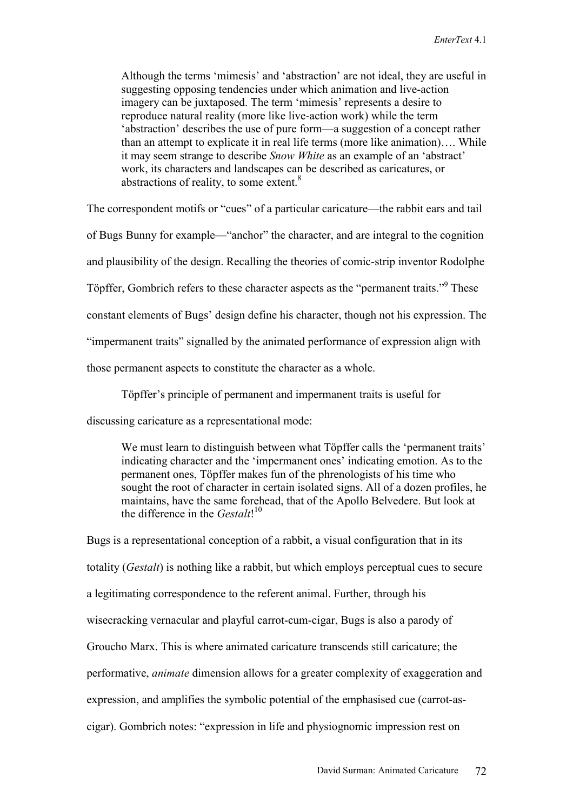Although the terms 'mimesis' and 'abstraction' are not ideal, they are useful in suggesting opposing tendencies under which animation and live-action imagery can be juxtaposed. The term 'mimesis' represents a desire to reproduce natural reality (more like live-action work) while the term 'abstraction' describes the use of pure form—a suggestion of a concept rather than an attempt to explicate it in real life terms (more like animation)…. While it may seem strange to describe *Snow White* as an example of an 'abstract' work, its characters and landscapes can be described as caricatures, or abstractions of reality, to some extent.<sup>8</sup>

The correspondent motifs or "cues" of a particular caricature—the rabbit ears and tail of Bugs Bunny for example—"anchor" the character, and are integral to the cognition and plausibility of the design. Recalling the theories of comic-strip inventor Rodolphe Töpffer, Gombrich refers to these character aspects as the "permanent traits."<sup>9</sup> These constant elements of Bugs' design define his character, though not his expression. The "impermanent traits" signalled by the animated performance of expression align with those permanent aspects to constitute the character as a whole.

Töpffer's principle of permanent and impermanent traits is useful for

discussing caricature as a representational mode:

We must learn to distinguish between what Töpffer calls the 'permanent traits' indicating character and the 'impermanent ones' indicating emotion. As to the permanent ones, Töpffer makes fun of the phrenologists of his time who sought the root of character in certain isolated signs. All of a dozen profiles, he maintains, have the same forehead, that of the Apollo Belvedere. But look at the difference in the *Gestalt*! 10

Bugs is a representational conception of a rabbit, a visual configuration that in its totality (*Gestalt*) is nothing like a rabbit, but which employs perceptual cues to secure a legitimating correspondence to the referent animal. Further, through his wisecracking vernacular and playful carrot-cum-cigar, Bugs is also a parody of Groucho Marx. This is where animated caricature transcends still caricature; the performative, *animate* dimension allows for a greater complexity of exaggeration and expression, and amplifies the symbolic potential of the emphasised cue (carrot-ascigar). Gombrich notes: "expression in life and physiognomic impression rest on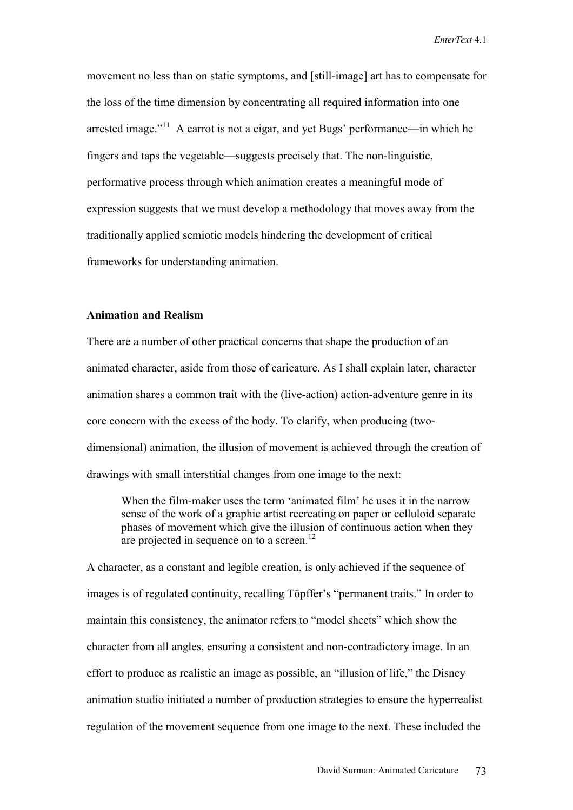movement no less than on static symptoms, and [still-image] art has to compensate for the loss of the time dimension by concentrating all required information into one arrested image. $11$ <sup>1</sup> A carrot is not a cigar, and yet Bugs' performance—in which he fingers and taps the vegetable—suggests precisely that. The non-linguistic, performative process through which animation creates a meaningful mode of expression suggests that we must develop a methodology that moves away from the traditionally applied semiotic models hindering the development of critical frameworks for understanding animation.

## **Animation and Realism**

There are a number of other practical concerns that shape the production of an animated character, aside from those of caricature. As I shall explain later, character animation shares a common trait with the (live-action) action-adventure genre in its core concern with the excess of the body. To clarify, when producing (twodimensional) animation, the illusion of movement is achieved through the creation of drawings with small interstitial changes from one image to the next:

When the film-maker uses the term 'animated film' he uses it in the narrow sense of the work of a graphic artist recreating on paper or celluloid separate phases of movement which give the illusion of continuous action when they are projected in sequence on to a screen.<sup>12</sup>

A character, as a constant and legible creation, is only achieved if the sequence of images is of regulated continuity, recalling Töpffer's "permanent traits." In order to maintain this consistency, the animator refers to "model sheets" which show the character from all angles, ensuring a consistent and non-contradictory image. In an effort to produce as realistic an image as possible, an "illusion of life," the Disney animation studio initiated a number of production strategies to ensure the hyperrealist regulation of the movement sequence from one image to the next. These included the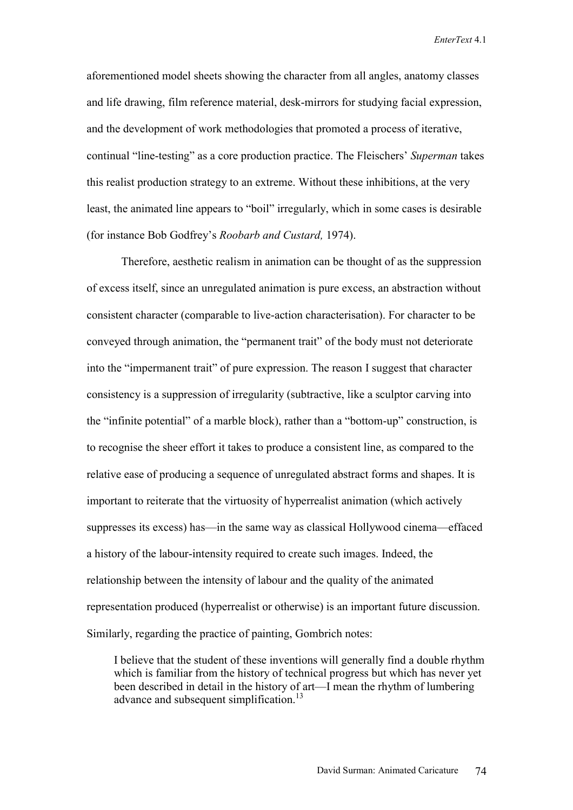aforementioned model sheets showing the character from all angles, anatomy classes and life drawing, film reference material, desk-mirrors for studying facial expression, and the development of work methodologies that promoted a process of iterative, continual "line-testing" as a core production practice. The Fleischers' *Superman* takes this realist production strategy to an extreme. Without these inhibitions, at the very least, the animated line appears to "boil" irregularly, which in some cases is desirable (for instance Bob Godfrey's *Roobarb and Custard,* 1974).

Therefore, aesthetic realism in animation can be thought of as the suppression of excess itself, since an unregulated animation is pure excess, an abstraction without consistent character (comparable to live-action characterisation). For character to be conveyed through animation, the "permanent trait" of the body must not deteriorate into the "impermanent trait" of pure expression. The reason I suggest that character consistency is a suppression of irregularity (subtractive, like a sculptor carving into the "infinite potential" of a marble block), rather than a "bottom-up" construction, is to recognise the sheer effort it takes to produce a consistent line, as compared to the relative ease of producing a sequence of unregulated abstract forms and shapes. It is important to reiterate that the virtuosity of hyperrealist animation (which actively suppresses its excess) has—in the same way as classical Hollywood cinema—effaced a history of the labour-intensity required to create such images. Indeed, the relationship between the intensity of labour and the quality of the animated representation produced (hyperrealist or otherwise) is an important future discussion. Similarly, regarding the practice of painting, Gombrich notes:

I believe that the student of these inventions will generally find a double rhythm which is familiar from the history of technical progress but which has never yet been described in detail in the history of art—I mean the rhythm of lumbering advance and subsequent simplification.<sup>13</sup>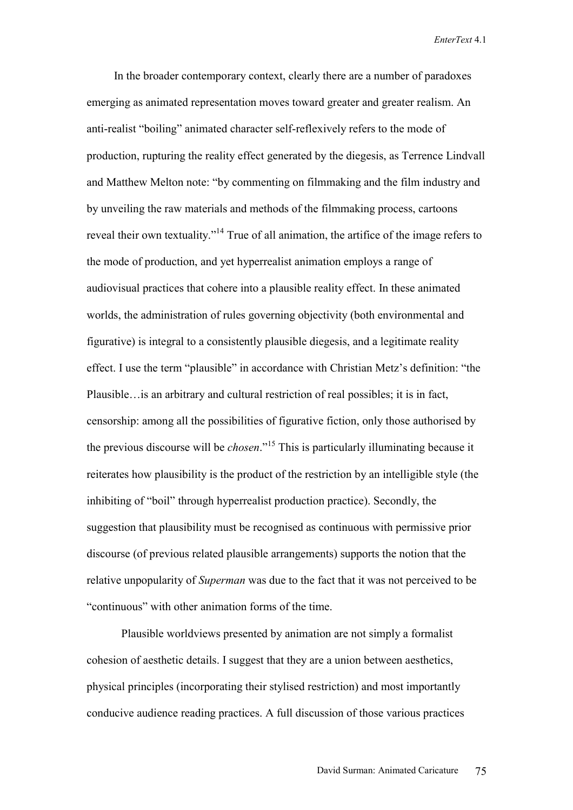In the broader contemporary context, clearly there are a number of paradoxes emerging as animated representation moves toward greater and greater realism. An anti-realist "boiling" animated character self-reflexively refers to the mode of production, rupturing the reality effect generated by the diegesis, as Terrence Lindvall and Matthew Melton note: "by commenting on filmmaking and the film industry and by unveiling the raw materials and methods of the filmmaking process, cartoons reveal their own textuality."<sup>14</sup> True of all animation, the artifice of the image refers to the mode of production, and yet hyperrealist animation employs a range of audiovisual practices that cohere into a plausible reality effect. In these animated worlds, the administration of rules governing objectivity (both environmental and figurative) is integral to a consistently plausible diegesis, and a legitimate reality effect. I use the term "plausible" in accordance with Christian Metz's definition: "the Plausible…is an arbitrary and cultural restriction of real possibles; it is in fact, censorship: among all the possibilities of figurative fiction, only those authorised by the previous discourse will be *chosen*."15 This is particularly illuminating because it reiterates how plausibility is the product of the restriction by an intelligible style (the inhibiting of "boil" through hyperrealist production practice). Secondly, the suggestion that plausibility must be recognised as continuous with permissive prior discourse (of previous related plausible arrangements) supports the notion that the relative unpopularity of *Superman* was due to the fact that it was not perceived to be "continuous" with other animation forms of the time.

Plausible worldviews presented by animation are not simply a formalist cohesion of aesthetic details. I suggest that they are a union between aesthetics, physical principles (incorporating their stylised restriction) and most importantly conducive audience reading practices. A full discussion of those various practices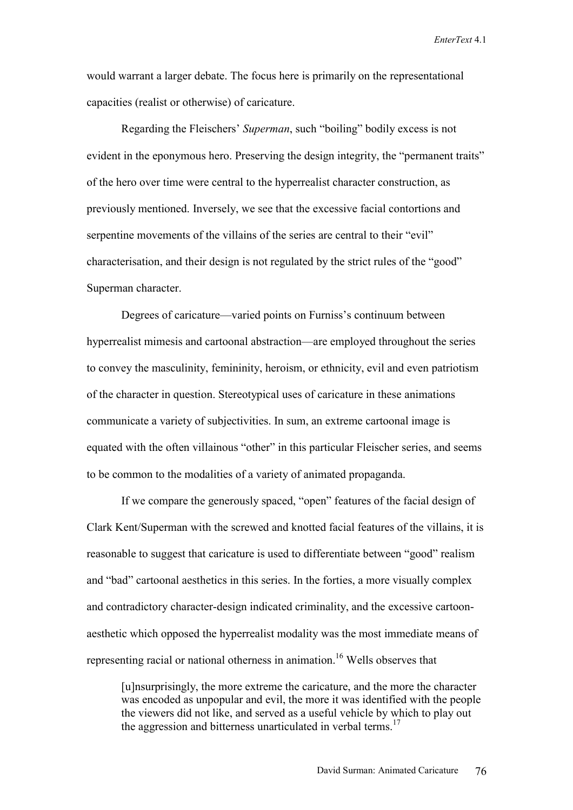would warrant a larger debate. The focus here is primarily on the representational capacities (realist or otherwise) of caricature.

Regarding the Fleischers' *Superman*, such "boiling" bodily excess is not evident in the eponymous hero. Preserving the design integrity, the "permanent traits" of the hero over time were central to the hyperrealist character construction, as previously mentioned. Inversely, we see that the excessive facial contortions and serpentine movements of the villains of the series are central to their "evil" characterisation, and their design is not regulated by the strict rules of the "good" Superman character.

Degrees of caricature—varied points on Furniss's continuum between hyperrealist mimesis and cartoonal abstraction—are employed throughout the series to convey the masculinity, femininity, heroism, or ethnicity, evil and even patriotism of the character in question. Stereotypical uses of caricature in these animations communicate a variety of subjectivities. In sum, an extreme cartoonal image is equated with the often villainous "other" in this particular Fleischer series, and seems to be common to the modalities of a variety of animated propaganda.

If we compare the generously spaced, "open" features of the facial design of Clark Kent/Superman with the screwed and knotted facial features of the villains, it is reasonable to suggest that caricature is used to differentiate between "good" realism and "bad" cartoonal aesthetics in this series. In the forties, a more visually complex and contradictory character-design indicated criminality, and the excessive cartoonaesthetic which opposed the hyperrealist modality was the most immediate means of representing racial or national otherness in animation.<sup>16</sup> Wells observes that

[u]nsurprisingly, the more extreme the caricature, and the more the character was encoded as unpopular and evil, the more it was identified with the people the viewers did not like, and served as a useful vehicle by which to play out the aggression and bitterness unarticulated in verbal terms.<sup>17</sup>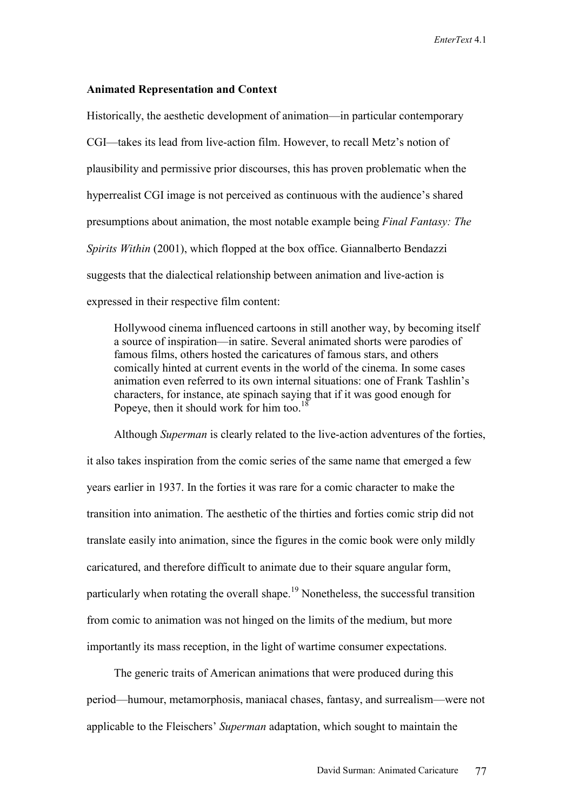#### **Animated Representation and Context**

Historically, the aesthetic development of animation—in particular contemporary CGI—takes its lead from live-action film. However, to recall Metz's notion of plausibility and permissive prior discourses, this has proven problematic when the hyperrealist CGI image is not perceived as continuous with the audience's shared presumptions about animation, the most notable example being *Final Fantasy: The Spirits Within* (2001), which flopped at the box office. Giannalberto Bendazzi suggests that the dialectical relationship between animation and live-action is expressed in their respective film content:

Hollywood cinema influenced cartoons in still another way, by becoming itself a source of inspiration—in satire. Several animated shorts were parodies of famous films, others hosted the caricatures of famous stars, and others comically hinted at current events in the world of the cinema. In some cases animation even referred to its own internal situations: one of Frank Tashlin's characters, for instance, ate spinach saying that if it was good enough for Popeye, then it should work for him too.<sup>18</sup>

Although *Superman* is clearly related to the live-action adventures of the forties, it also takes inspiration from the comic series of the same name that emerged a few years earlier in 1937. In the forties it was rare for a comic character to make the transition into animation. The aesthetic of the thirties and forties comic strip did not translate easily into animation, since the figures in the comic book were only mildly caricatured, and therefore difficult to animate due to their square angular form, particularly when rotating the overall shape.<sup>19</sup> Nonetheless, the successful transition from comic to animation was not hinged on the limits of the medium, but more importantly its mass reception, in the light of wartime consumer expectations.

The generic traits of American animations that were produced during this period—humour, metamorphosis, maniacal chases, fantasy, and surrealism—were not applicable to the Fleischers' *Superman* adaptation, which sought to maintain the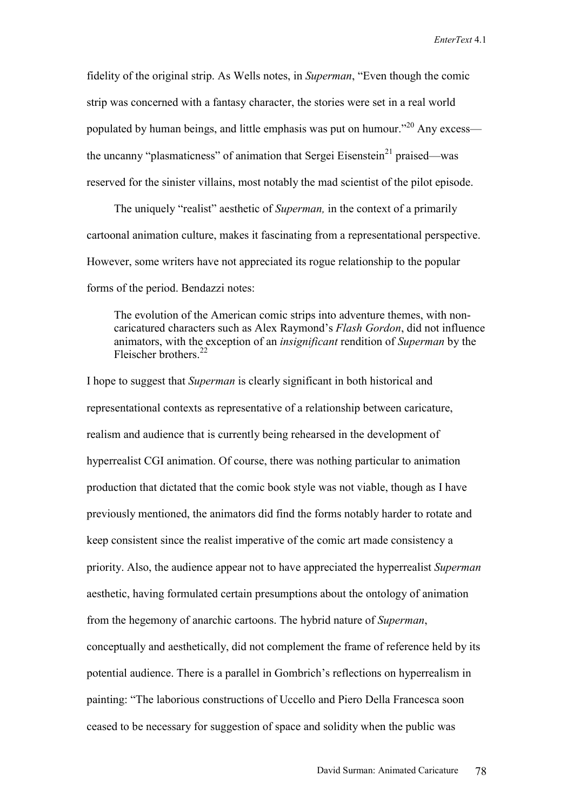fidelity of the original strip. As Wells notes, in *Superman*, "Even though the comic strip was concerned with a fantasy character, the stories were set in a real world populated by human beings, and little emphasis was put on humour."<sup>20</sup> Any excess the uncanny "plasmaticness" of animation that Sergei Eisenstein<sup>21</sup> praised—was reserved for the sinister villains, most notably the mad scientist of the pilot episode.

The uniquely "realist" aesthetic of *Superman,* in the context of a primarily cartoonal animation culture, makes it fascinating from a representational perspective. However, some writers have not appreciated its rogue relationship to the popular forms of the period. Bendazzi notes:

The evolution of the American comic strips into adventure themes, with noncaricatured characters such as Alex Raymond's *Flash Gordon*, did not influence animators, with the exception of an *insignificant* rendition of *Superman* by the Fleischer brothers<sup>22</sup>

I hope to suggest that *Superman* is clearly significant in both historical and representational contexts as representative of a relationship between caricature, realism and audience that is currently being rehearsed in the development of hyperrealist CGI animation. Of course, there was nothing particular to animation production that dictated that the comic book style was not viable, though as I have previously mentioned, the animators did find the forms notably harder to rotate and keep consistent since the realist imperative of the comic art made consistency a priority. Also, the audience appear not to have appreciated the hyperrealist *Superman* aesthetic, having formulated certain presumptions about the ontology of animation from the hegemony of anarchic cartoons. The hybrid nature of *Superman*, conceptually and aesthetically, did not complement the frame of reference held by its potential audience. There is a parallel in Gombrich's reflections on hyperrealism in painting: "The laborious constructions of Uccello and Piero Della Francesca soon ceased to be necessary for suggestion of space and solidity when the public was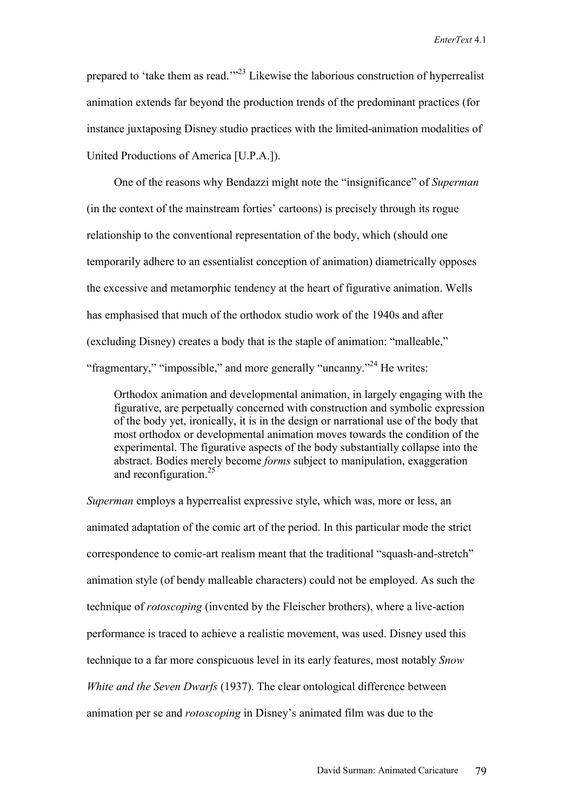prepared to 'take them as read.'"<sup>23</sup> Likewise the laborious construction of hyperrealist animation extends far beyond the production trends of the predominant practices (for instance juxtaposing Disney studio practices with the limited-animation modalities of United Productions of America [U.P.A.]).

One of the reasons why Bendazzi might note the "insignificance" of *Superman* (in the context of the mainstream forties' cartoons) is precisely through its rogue relationship to the conventional representation of the body, which (should one temporarily adhere to an essentialist conception of animation) diametrically opposes the excessive and metamorphic tendency at the heart of figurative animation. Wells has emphasised that much of the orthodox studio work of the 1940s and after (excluding Disney) creates a body that is the staple of animation: "malleable," "fragmentary," "impossible," and more generally "uncanny."<sup>24</sup> He writes:

Orthodox animation and developmental animation, in largely engaging with the figurative, are perpetually concerned with construction and symbolic expression of the body yet, ironically, it is in the design or narrational use of the body that most orthodox or developmental animation moves towards the condition of the experimental. The figurative aspects of the body substantially collapse into the abstract. Bodies merely become *forms* subject to manipulation, exaggeration and reconfiguration.<sup>25</sup>

*Superman* employs a hyperrealist expressive style, which was, more or less, an animated adaptation of the comic art of the period. In this particular mode the strict correspondence to comic-art realism meant that the traditional "squash-and-stretch" animation style (of bendy malleable characters) could not be employed. As such the technique of *rotoscoping* (invented by the Fleischer brothers), where a live-action performance is traced to achieve a realistic movement, was used. Disney used this technique to a far more conspicuous level in its early features, most notably *Snow White and the Seven Dwarfs* (1937). The clear ontological difference between animation per se and *rotoscoping* in Disney's animated film was due to the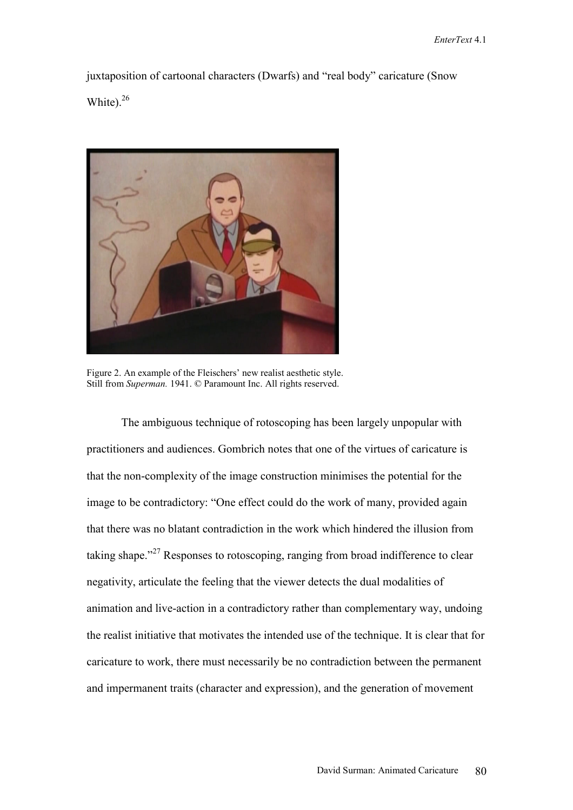juxtaposition of cartoonal characters (Dwarfs) and "real body" caricature (Snow White).<sup>26</sup>



Figure 2. An example of the Fleischers' new realist aesthetic style. Still from *Superman.* 1941. © Paramount Inc. All rights reserved.

The ambiguous technique of rotoscoping has been largely unpopular with practitioners and audiences. Gombrich notes that one of the virtues of caricature is that the non-complexity of the image construction minimises the potential for the image to be contradictory: "One effect could do the work of many, provided again that there was no blatant contradiction in the work which hindered the illusion from taking shape."<sup>27</sup> Responses to rotoscoping, ranging from broad indifference to clear negativity, articulate the feeling that the viewer detects the dual modalities of animation and live-action in a contradictory rather than complementary way, undoing the realist initiative that motivates the intended use of the technique. It is clear that for caricature to work, there must necessarily be no contradiction between the permanent and impermanent traits (character and expression), and the generation of movement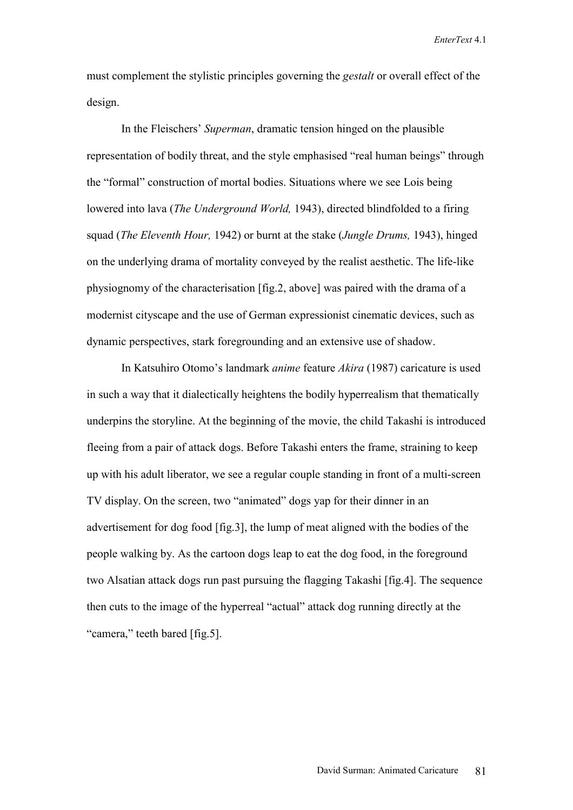must complement the stylistic principles governing the *gestalt* or overall effect of the design.

In the Fleischers' *Superman*, dramatic tension hinged on the plausible representation of bodily threat, and the style emphasised "real human beings" through the "formal" construction of mortal bodies. Situations where we see Lois being lowered into lava (*The Underground World,* 1943), directed blindfolded to a firing squad (*The Eleventh Hour,* 1942) or burnt at the stake (*Jungle Drums,* 1943), hinged on the underlying drama of mortality conveyed by the realist aesthetic. The life-like physiognomy of the characterisation [fig.2, above] was paired with the drama of a modernist cityscape and the use of German expressionist cinematic devices, such as dynamic perspectives, stark foregrounding and an extensive use of shadow.

In Katsuhiro Otomo's landmark *anime* feature *Akira* (1987) caricature is used in such a way that it dialectically heightens the bodily hyperrealism that thematically underpins the storyline. At the beginning of the movie, the child Takashi is introduced fleeing from a pair of attack dogs. Before Takashi enters the frame, straining to keep up with his adult liberator, we see a regular couple standing in front of a multi-screen TV display. On the screen, two "animated" dogs yap for their dinner in an advertisement for dog food [fig.3], the lump of meat aligned with the bodies of the people walking by. As the cartoon dogs leap to eat the dog food, in the foreground two Alsatian attack dogs run past pursuing the flagging Takashi [fig.4]. The sequence then cuts to the image of the hyperreal "actual" attack dog running directly at the "camera," teeth bared [fig.5].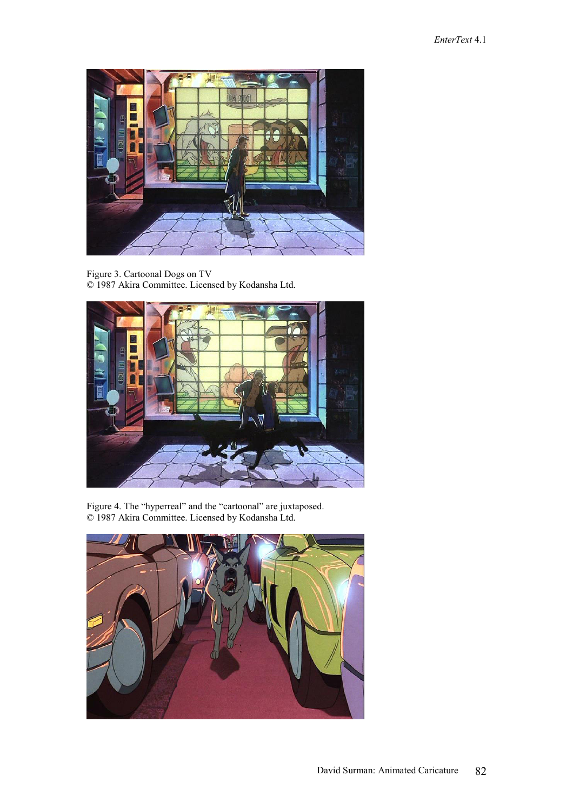

Figure 3. Cartoonal Dogs on TV © 1987 Akira Committee. Licensed by Kodansha Ltd.



Figure 4. The "hyperreal" and the "cartoonal" are juxtaposed. © 1987 Akira Committee. Licensed by Kodansha Ltd.

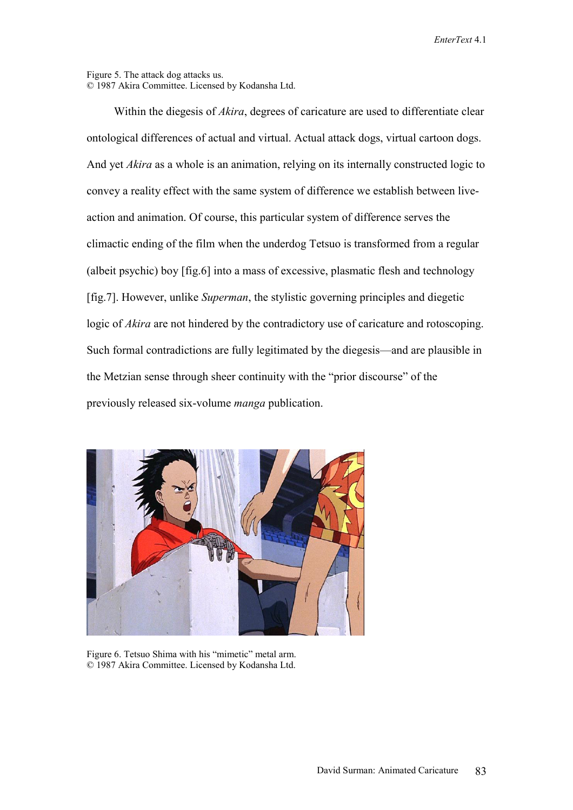#### Figure 5. The attack dog attacks us. © 1987 Akira Committee. Licensed by Kodansha Ltd.

Within the diegesis of *Akira*, degrees of caricature are used to differentiate clear ontological differences of actual and virtual. Actual attack dogs, virtual cartoon dogs. And yet *Akira* as a whole is an animation, relying on its internally constructed logic to convey a reality effect with the same system of difference we establish between liveaction and animation. Of course, this particular system of difference serves the climactic ending of the film when the underdog Tetsuo is transformed from a regular (albeit psychic) boy [fig.6] into a mass of excessive, plasmatic flesh and technology [fig.7]. However, unlike *Superman*, the stylistic governing principles and diegetic logic of *Akira* are not hindered by the contradictory use of caricature and rotoscoping. Such formal contradictions are fully legitimated by the diegesis—and are plausible in the Metzian sense through sheer continuity with the "prior discourse" of the previously released six-volume *manga* publication.



Figure 6. Tetsuo Shima with his "mimetic" metal arm. © 1987 Akira Committee. Licensed by Kodansha Ltd.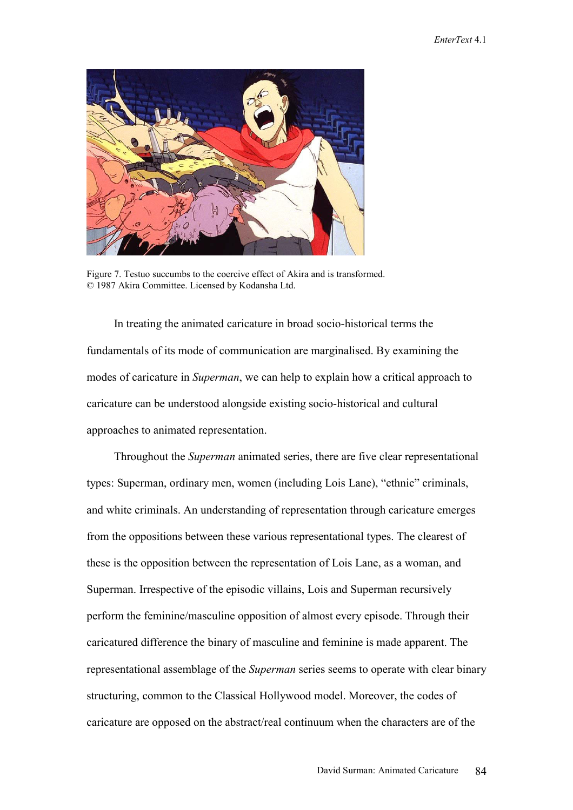

Figure 7. Testuo succumbs to the coercive effect of Akira and is transformed. © 1987 Akira Committee. Licensed by Kodansha Ltd.

In treating the animated caricature in broad socio-historical terms the fundamentals of its mode of communication are marginalised. By examining the modes of caricature in *Superman*, we can help to explain how a critical approach to caricature can be understood alongside existing socio-historical and cultural approaches to animated representation.

Throughout the *Superman* animated series, there are five clear representational types: Superman, ordinary men, women (including Lois Lane), "ethnic" criminals, and white criminals. An understanding of representation through caricature emerges from the oppositions between these various representational types. The clearest of these is the opposition between the representation of Lois Lane, as a woman, and Superman. Irrespective of the episodic villains, Lois and Superman recursively perform the feminine/masculine opposition of almost every episode. Through their caricatured difference the binary of masculine and feminine is made apparent. The representational assemblage of the *Superman* series seems to operate with clear binary structuring, common to the Classical Hollywood model. Moreover, the codes of caricature are opposed on the abstract/real continuum when the characters are of the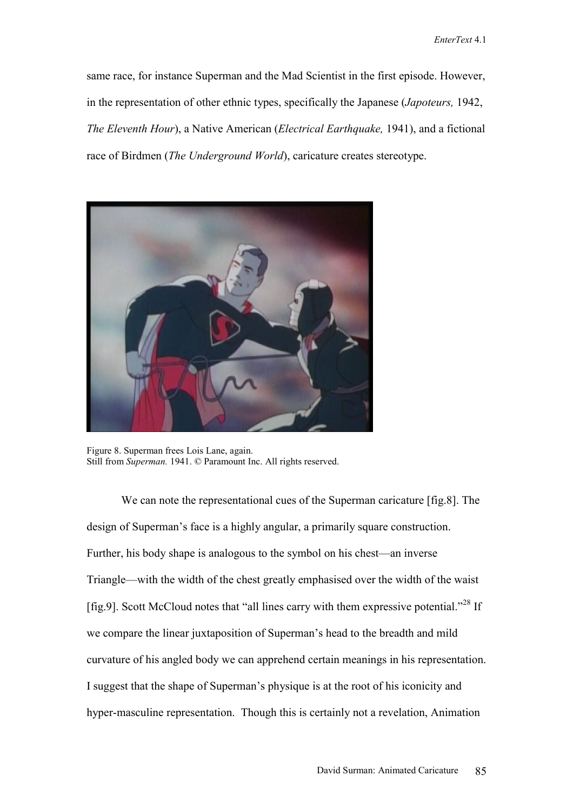same race, for instance Superman and the Mad Scientist in the first episode. However, in the representation of other ethnic types, specifically the Japanese (*Japoteurs,* 1942, *The Eleventh Hour*), a Native American (*Electrical Earthquake,* 1941), and a fictional race of Birdmen (*The Underground World*), caricature creates stereotype.



Figure 8. Superman frees Lois Lane, again. Still from *Superman.* 1941. © Paramount Inc. All rights reserved.

We can note the representational cues of the Superman caricature [fig.8]. The design of Superman's face is a highly angular, a primarily square construction. Further, his body shape is analogous to the symbol on his chest—an inverse Triangle—with the width of the chest greatly emphasised over the width of the waist [fig.9]. Scott McCloud notes that "all lines carry with them expressive potential."<sup>28</sup> If we compare the linear juxtaposition of Superman's head to the breadth and mild curvature of his angled body we can apprehend certain meanings in his representation. I suggest that the shape of Superman's physique is at the root of his iconicity and hyper-masculine representation. Though this is certainly not a revelation, Animation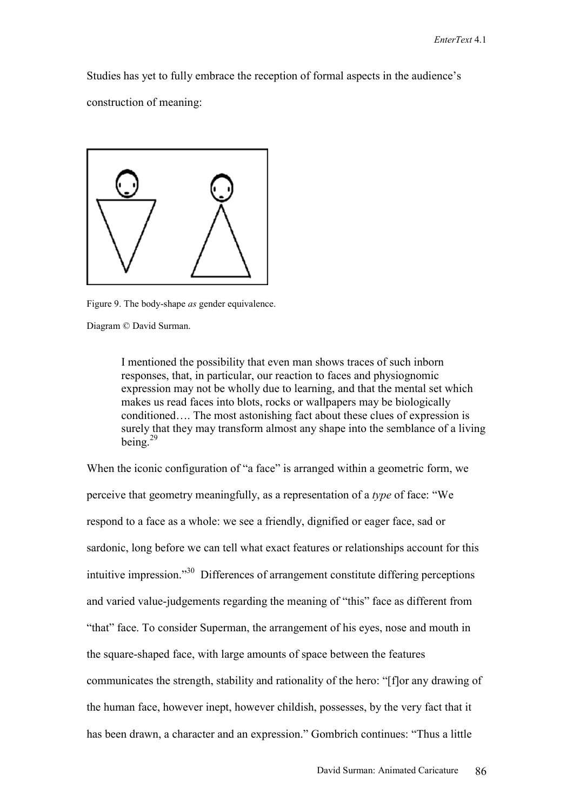Studies has yet to fully embrace the reception of formal aspects in the audience's construction of meaning:



Figure 9. The body-shape *as* gender equivalence.

Diagram © David Surman.

I mentioned the possibility that even man shows traces of such inborn responses, that, in particular, our reaction to faces and physiognomic expression may not be wholly due to learning, and that the mental set which makes us read faces into blots, rocks or wallpapers may be biologically conditioned…. The most astonishing fact about these clues of expression is surely that they may transform almost any shape into the semblance of a living being.29

When the iconic configuration of "a face" is arranged within a geometric form, we perceive that geometry meaningfully, as a representation of a *type* of face: "We respond to a face as a whole: we see a friendly, dignified or eager face, sad or sardonic, long before we can tell what exact features or relationships account for this intuitive impression."30 Differences of arrangement constitute differing perceptions and varied value-judgements regarding the meaning of "this" face as different from "that" face. To consider Superman, the arrangement of his eyes, nose and mouth in the square-shaped face, with large amounts of space between the features communicates the strength, stability and rationality of the hero: "[f]or any drawing of the human face, however inept, however childish, possesses, by the very fact that it has been drawn, a character and an expression." Gombrich continues: "Thus a little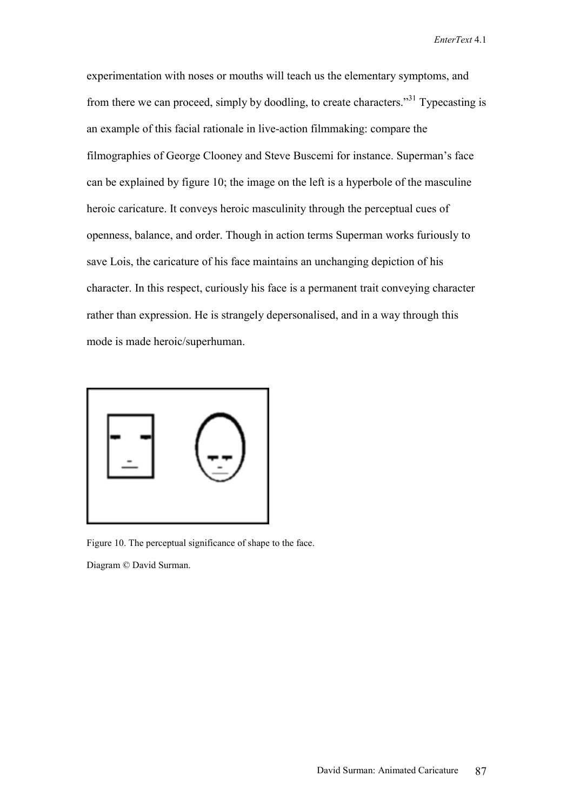experimentation with noses or mouths will teach us the elementary symptoms, and from there we can proceed, simply by doodling, to create characters."31 Typecasting is an example of this facial rationale in live-action filmmaking: compare the filmographies of George Clooney and Steve Buscemi for instance. Superman's face can be explained by figure 10; the image on the left is a hyperbole of the masculine heroic caricature. It conveys heroic masculinity through the perceptual cues of openness, balance, and order. Though in action terms Superman works furiously to save Lois, the caricature of his face maintains an unchanging depiction of his character. In this respect, curiously his face is a permanent trait conveying character rather than expression. He is strangely depersonalised, and in a way through this mode is made heroic/superhuman.



Figure 10. The perceptual significance of shape to the face.

Diagram © David Surman.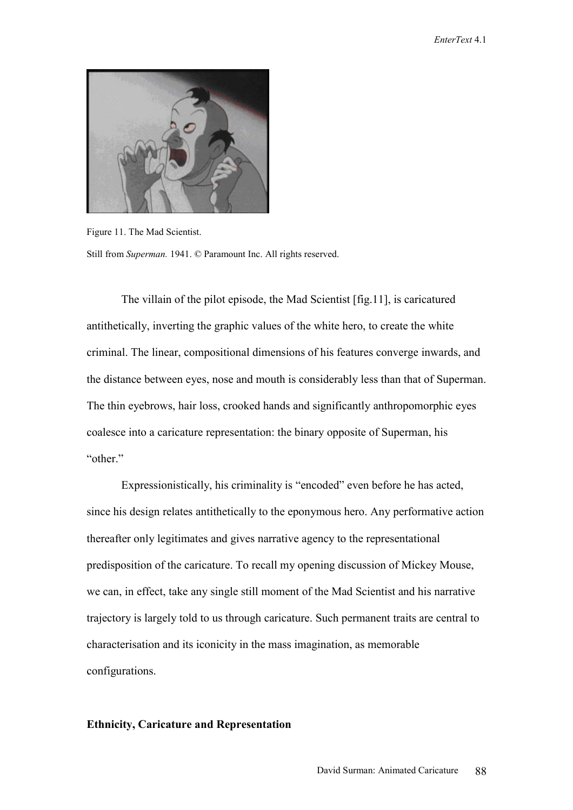

Figure 11. The Mad Scientist. Still from *Superman.* 1941. © Paramount Inc. All rights reserved.

The villain of the pilot episode, the Mad Scientist [fig.11], is caricatured antithetically, inverting the graphic values of the white hero, to create the white criminal. The linear, compositional dimensions of his features converge inwards, and the distance between eyes, nose and mouth is considerably less than that of Superman. The thin eyebrows, hair loss, crooked hands and significantly anthropomorphic eyes coalesce into a caricature representation: the binary opposite of Superman, his "other"

Expressionistically, his criminality is "encoded" even before he has acted, since his design relates antithetically to the eponymous hero. Any performative action thereafter only legitimates and gives narrative agency to the representational predisposition of the caricature. To recall my opening discussion of Mickey Mouse, we can, in effect, take any single still moment of the Mad Scientist and his narrative trajectory is largely told to us through caricature. Such permanent traits are central to characterisation and its iconicity in the mass imagination, as memorable configurations.

## **Ethnicity, Caricature and Representation**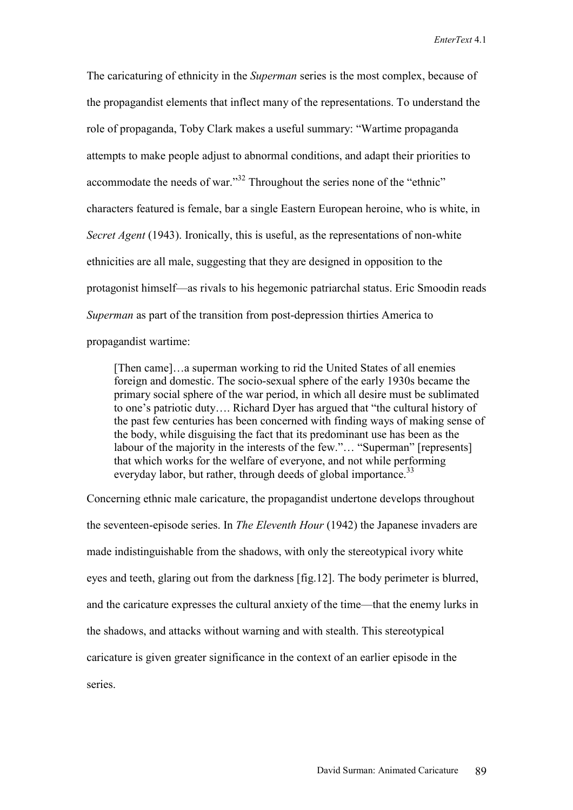The caricaturing of ethnicity in the *Superman* series is the most complex, because of the propagandist elements that inflect many of the representations. To understand the role of propaganda, Toby Clark makes a useful summary: "Wartime propaganda attempts to make people adjust to abnormal conditions, and adapt their priorities to accommodate the needs of war."32 Throughout the series none of the "ethnic" characters featured is female, bar a single Eastern European heroine, who is white, in *Secret Agent* (1943). Ironically, this is useful, as the representations of non-white ethnicities are all male, suggesting that they are designed in opposition to the protagonist himself—as rivals to his hegemonic patriarchal status. Eric Smoodin reads *Superman* as part of the transition from post-depression thirties America to propagandist wartime:

[Then came]…a superman working to rid the United States of all enemies foreign and domestic. The socio-sexual sphere of the early 1930s became the primary social sphere of the war period, in which all desire must be sublimated to one's patriotic duty…. Richard Dyer has argued that "the cultural history of the past few centuries has been concerned with finding ways of making sense of the body, while disguising the fact that its predominant use has been as the labour of the majority in the interests of the few."… "Superman" [represents] that which works for the welfare of everyone, and not while performing everyday labor, but rather, through deeds of global importance.<sup>33</sup>

Concerning ethnic male caricature, the propagandist undertone develops throughout the seventeen-episode series. In *The Eleventh Hour* (1942) the Japanese invaders are made indistinguishable from the shadows, with only the stereotypical ivory white eyes and teeth, glaring out from the darkness [fig.12]. The body perimeter is blurred, and the caricature expresses the cultural anxiety of the time—that the enemy lurks in the shadows, and attacks without warning and with stealth. This stereotypical caricature is given greater significance in the context of an earlier episode in the series.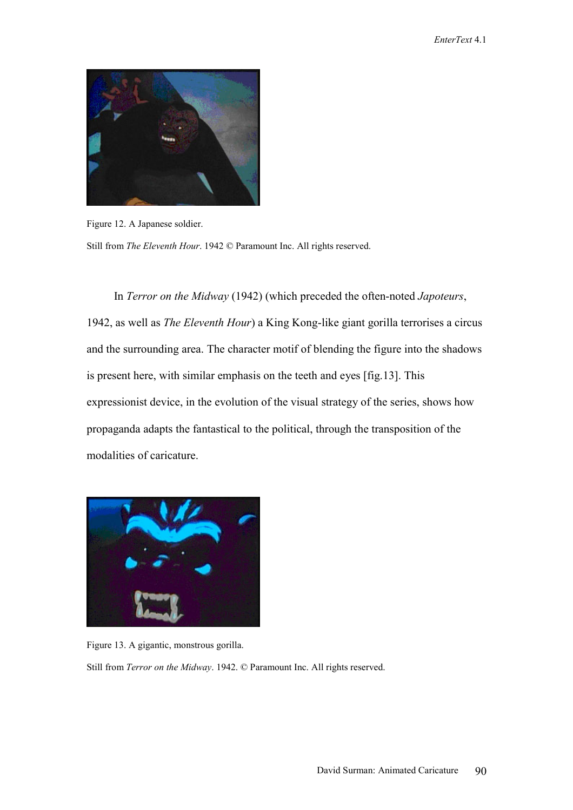

Figure 12. A Japanese soldier.

Still from *The Eleventh Hour*. 1942 © Paramount Inc. All rights reserved.

In *Terror on the Midway* (1942) (which preceded the often-noted *Japoteurs*, 1942, as well as *The Eleventh Hour*) a King Kong-like giant gorilla terrorises a circus and the surrounding area. The character motif of blending the figure into the shadows is present here, with similar emphasis on the teeth and eyes [fig.13]. This expressionist device, in the evolution of the visual strategy of the series, shows how propaganda adapts the fantastical to the political, through the transposition of the modalities of caricature.



Figure 13. A gigantic, monstrous gorilla.

Still from *Terror on the Midway*. 1942. © Paramount Inc. All rights reserved.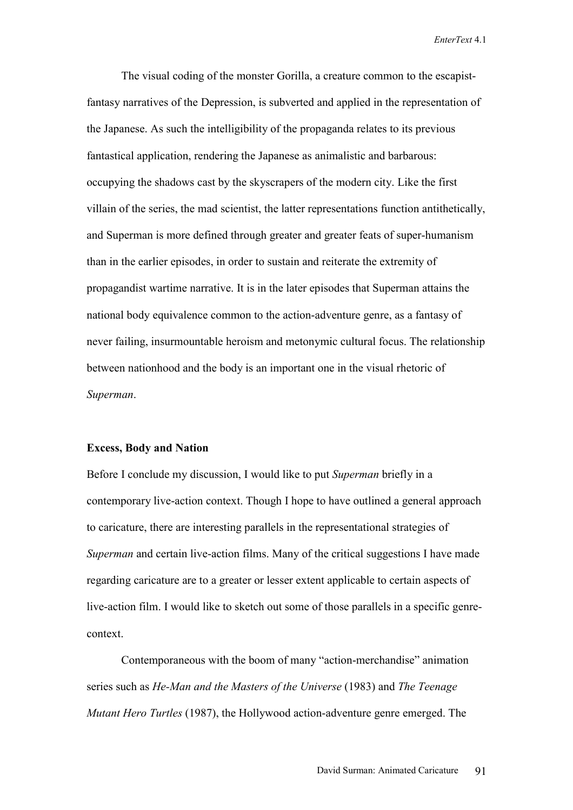The visual coding of the monster Gorilla, a creature common to the escapistfantasy narratives of the Depression, is subverted and applied in the representation of the Japanese. As such the intelligibility of the propaganda relates to its previous fantastical application, rendering the Japanese as animalistic and barbarous: occupying the shadows cast by the skyscrapers of the modern city. Like the first villain of the series, the mad scientist, the latter representations function antithetically, and Superman is more defined through greater and greater feats of super-humanism than in the earlier episodes, in order to sustain and reiterate the extremity of propagandist wartime narrative. It is in the later episodes that Superman attains the national body equivalence common to the action-adventure genre, as a fantasy of never failing, insurmountable heroism and metonymic cultural focus. The relationship between nationhood and the body is an important one in the visual rhetoric of *Superman*.

### **Excess, Body and Nation**

Before I conclude my discussion, I would like to put *Superman* briefly in a contemporary live-action context. Though I hope to have outlined a general approach to caricature, there are interesting parallels in the representational strategies of *Superman* and certain live-action films. Many of the critical suggestions I have made regarding caricature are to a greater or lesser extent applicable to certain aspects of live-action film. I would like to sketch out some of those parallels in a specific genrecontext.

Contemporaneous with the boom of many "action-merchandise" animation series such as *He-Man and the Masters of the Universe* (1983) and *The Teenage Mutant Hero Turtles* (1987), the Hollywood action-adventure genre emerged. The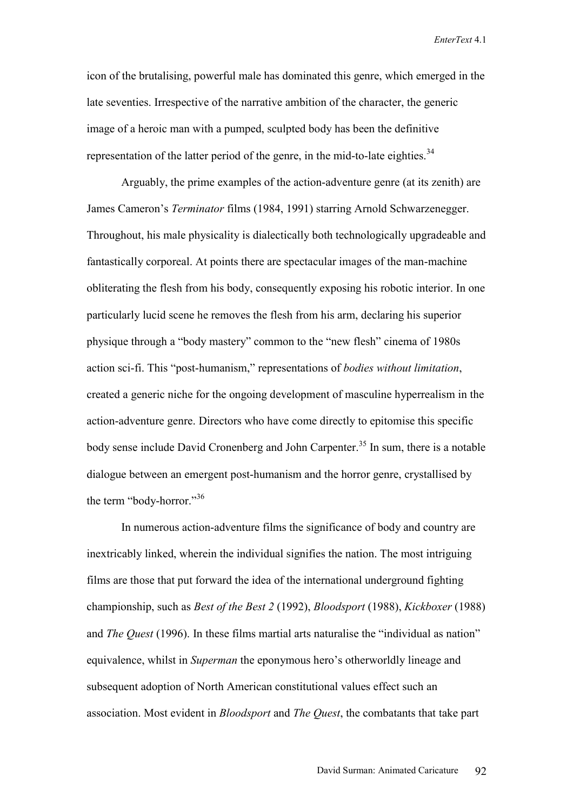icon of the brutalising, powerful male has dominated this genre, which emerged in the late seventies. Irrespective of the narrative ambition of the character, the generic image of a heroic man with a pumped, sculpted body has been the definitive representation of the latter period of the genre, in the mid-to-late eighties.<sup>34</sup>

Arguably, the prime examples of the action-adventure genre (at its zenith) are James Cameron's *Terminator* films (1984, 1991) starring Arnold Schwarzenegger. Throughout, his male physicality is dialectically both technologically upgradeable and fantastically corporeal. At points there are spectacular images of the man-machine obliterating the flesh from his body, consequently exposing his robotic interior. In one particularly lucid scene he removes the flesh from his arm, declaring his superior physique through a "body mastery" common to the "new flesh" cinema of 1980s action sci-fi. This "post-humanism," representations of *bodies without limitation*, created a generic niche for the ongoing development of masculine hyperrealism in the action-adventure genre. Directors who have come directly to epitomise this specific body sense include David Cronenberg and John Carpenter.<sup>35</sup> In sum, there is a notable dialogue between an emergent post-humanism and the horror genre, crystallised by the term "body-horror."36

In numerous action-adventure films the significance of body and country are inextricably linked, wherein the individual signifies the nation. The most intriguing films are those that put forward the idea of the international underground fighting championship, such as *Best of the Best 2* (1992), *Bloodsport* (1988), *Kickboxer* (1988) and *The Quest* (1996). In these films martial arts naturalise the "individual as nation" equivalence, whilst in *Superman* the eponymous hero's otherworldly lineage and subsequent adoption of North American constitutional values effect such an association. Most evident in *Bloodsport* and *The Quest*, the combatants that take part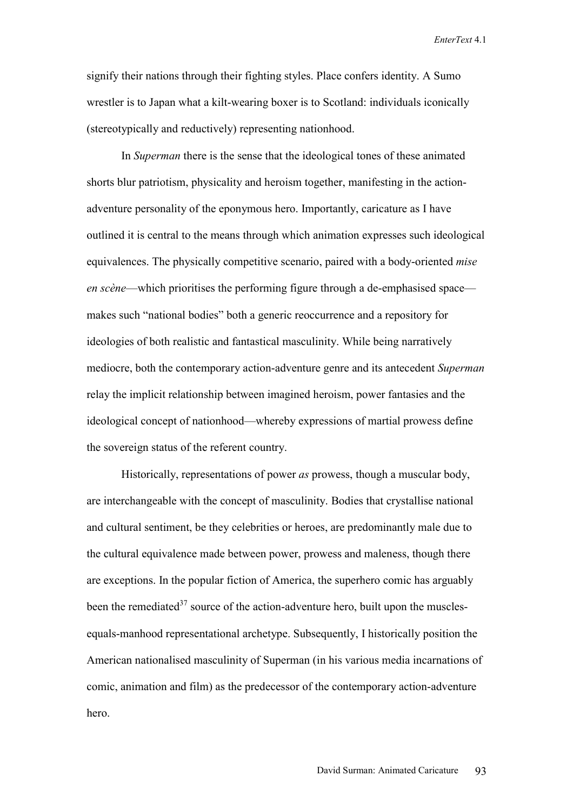signify their nations through their fighting styles. Place confers identity. A Sumo wrestler is to Japan what a kilt-wearing boxer is to Scotland: individuals iconically (stereotypically and reductively) representing nationhood.

In *Superman* there is the sense that the ideological tones of these animated shorts blur patriotism, physicality and heroism together, manifesting in the actionadventure personality of the eponymous hero. Importantly, caricature as I have outlined it is central to the means through which animation expresses such ideological equivalences. The physically competitive scenario, paired with a body-oriented *mise en scène*—which prioritises the performing figure through a de-emphasised space makes such "national bodies" both a generic reoccurrence and a repository for ideologies of both realistic and fantastical masculinity. While being narratively mediocre, both the contemporary action-adventure genre and its antecedent *Superman* relay the implicit relationship between imagined heroism, power fantasies and the ideological concept of nationhood—whereby expressions of martial prowess define the sovereign status of the referent country.

Historically, representations of power *as* prowess, though a muscular body, are interchangeable with the concept of masculinity. Bodies that crystallise national and cultural sentiment, be they celebrities or heroes, are predominantly male due to the cultural equivalence made between power, prowess and maleness, though there are exceptions. In the popular fiction of America, the superhero comic has arguably been the remediated $3^7$  source of the action-adventure hero, built upon the musclesequals-manhood representational archetype. Subsequently, I historically position the American nationalised masculinity of Superman (in his various media incarnations of comic, animation and film) as the predecessor of the contemporary action-adventure hero.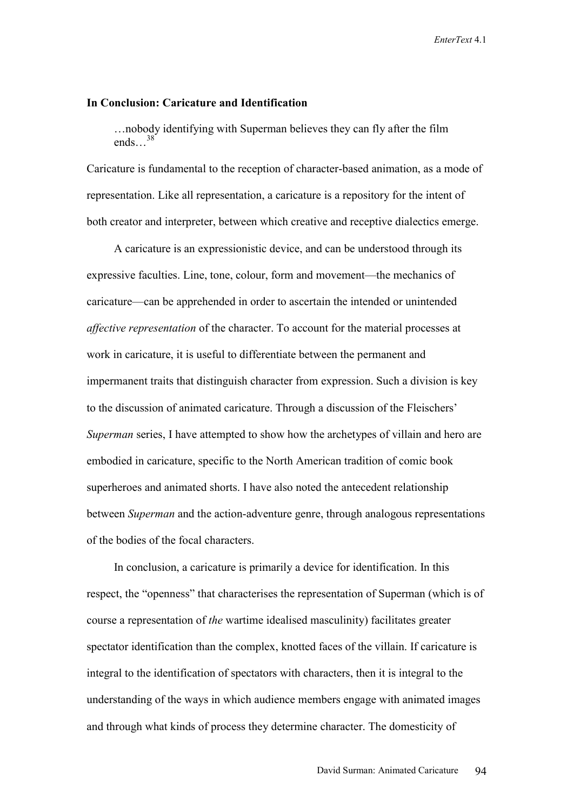#### **In Conclusion: Caricature and Identification**

…nobody identifying with Superman believes they can fly after the film  $^{28}$ ends<sup>38</sup>

Caricature is fundamental to the reception of character-based animation, as a mode of representation. Like all representation, a caricature is a repository for the intent of both creator and interpreter, between which creative and receptive dialectics emerge.

A caricature is an expressionistic device, and can be understood through its expressive faculties. Line, tone, colour, form and movement—the mechanics of caricature—can be apprehended in order to ascertain the intended or unintended *affective representation* of the character. To account for the material processes at work in caricature, it is useful to differentiate between the permanent and impermanent traits that distinguish character from expression. Such a division is key to the discussion of animated caricature. Through a discussion of the Fleischers' *Superman* series, I have attempted to show how the archetypes of villain and hero are embodied in caricature, specific to the North American tradition of comic book superheroes and animated shorts. I have also noted the antecedent relationship between *Superman* and the action-adventure genre, through analogous representations of the bodies of the focal characters.

In conclusion, a caricature is primarily a device for identification. In this respect, the "openness" that characterises the representation of Superman (which is of course a representation of *the* wartime idealised masculinity) facilitates greater spectator identification than the complex, knotted faces of the villain. If caricature is integral to the identification of spectators with characters, then it is integral to the understanding of the ways in which audience members engage with animated images and through what kinds of process they determine character. The domesticity of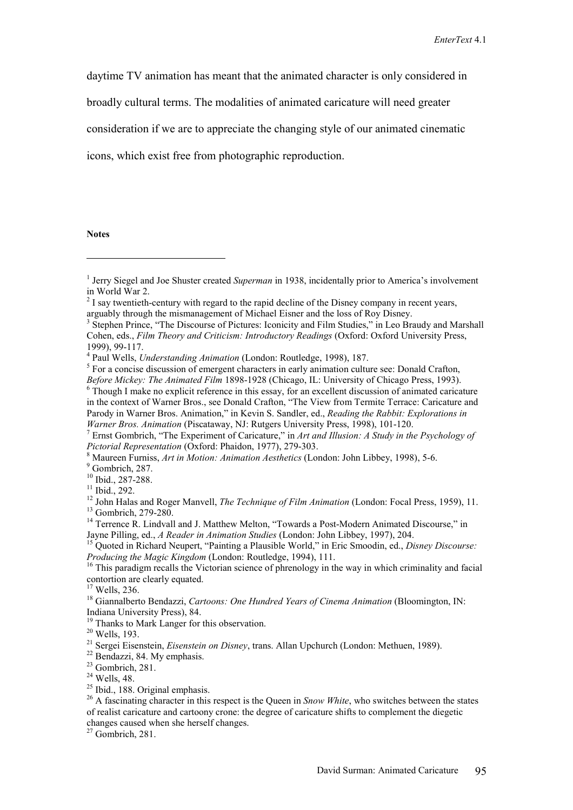daytime TV animation has meant that the animated character is only considered in

broadly cultural terms. The modalities of animated caricature will need greater

consideration if we are to appreciate the changing style of our animated cinematic

icons, which exist free from photographic reproduction.

#### **Notes**

 $\overline{a}$ 

 $9$  Gombrich, 287.

20 Wells, 193.

 $24$  Wells, 48.

 $^{25}$  Ibid., 188. Original emphasis.

<sup>26</sup> A fascinating character in this respect is the Queen in *Snow White*, who switches between the states of realist caricature and cartoony crone: the degree of caricature shifts to complement the diegetic changes caused when she herself changes.

 $27$  Gombrich, 281.

<sup>&</sup>lt;sup>1</sup> Jerry Siegel and Joe Shuster created *Superman* in 1938, incidentally prior to America's involvement in World War 2.

 $2^{2}$  I say twentieth-century with regard to the rapid decline of the Disney company in recent years, arguably through the mismanagement of Michael Eisner and the loss of Roy Disney.

<sup>&</sup>lt;sup>3</sup> Stephen Prince, "The Discourse of Pictures: Iconicity and Film Studies," in Leo Braudy and Marshall Cohen, eds., *Film Theory and Criticism: Introductory Readings* (Oxford: Oxford University Press, 1999), 99-117.

<sup>&</sup>lt;sup>4</sup> Paul Wells, *Understanding Animation* (London: Routledge, 1998), 187.

<sup>&</sup>lt;sup>5</sup> For a concise discussion of emergent characters in early animation culture see: Donald Crafton,

*Before Mickey: The Animated Film* 1898-1928 (Chicago, IL: University of Chicago Press, 1993).

 $6$  Though I make no explicit reference in this essay, for an excellent discussion of animated caricature in the context of Warner Bros., see Donald Crafton, "The View from Termite Terrace: Caricature and Parody in Warner Bros. Animation," in Kevin S. Sandler, ed., *Reading the Rabbit: Explorations in Warner Bros. Animation* (Piscataway, NJ: Rutgers University Press, 1998), 101-120.

Ernst Gombrich, "The Experiment of Caricature," in *Art and Illusion: A Study in the Psychology of Pictorial Representation* (Oxford: Phaidon, 1977), 279-303.

<sup>&</sup>lt;sup>8</sup> Maureen Furniss, *Art in Motion: Animation Aesthetics* (London: John Libbey, 1998), 5-6.

<sup>&</sup>lt;sup>10</sup> Ibid., 287-288.

<sup>&</sup>lt;sup>11</sup> Ibid., 292.

<sup>&</sup>lt;sup>12</sup> John Halas and Roger Manvell, *The Technique of Film Animation* (London: Focal Press, 1959), 11.<br><sup>13</sup> Gombrich, 279-280.

<sup>&</sup>lt;sup>14</sup> Terrence R. Lindvall and J. Matthew Melton, "Towards a Post-Modern Animated Discourse," in Jayne Pilling, ed., *A Reader in Animation Studies* (London: John Libbey, 1997), 204. 15 Quoted in Richard Neupert, "Painting a Plausible World," in Eric Smoodin, ed., *Disney Discourse:* 

*Producing the Magic Kingdom* (London: Routledge, 1994), 111.<br><sup>16</sup> This paradigm recalls the Victorian science of phrenology in the way in which criminality and facial

contortion are clearly equated.

<sup>17</sup> Wells, 236.

<sup>18</sup> Giannalberto Bendazzi, *Cartoons: One Hundred Years of Cinema Animation* (Bloomington, IN: Indiana University Press), 84.

<sup>&</sup>lt;sup>19</sup> Thanks to Mark Langer for this observation.

<sup>&</sup>lt;sup>21</sup> Sergei Eisenstein, *Eisenstein on Disney*, trans. Allan Upchurch (London: Methuen, 1989).<br><sup>22</sup> Bendazzi, 84. My emphasis.

<sup>&</sup>lt;sup>23</sup> Gombrich, 281.